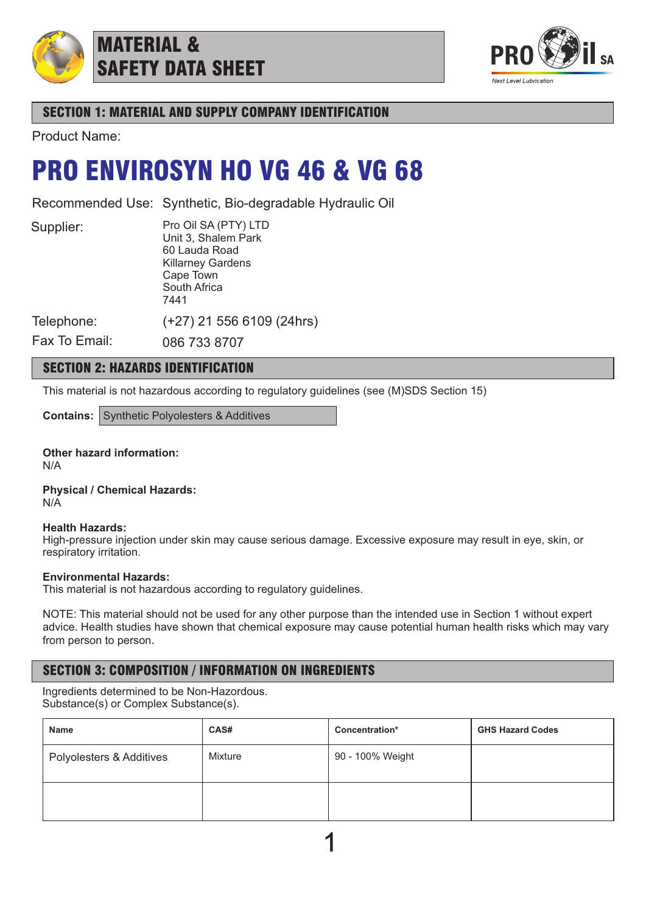

## MATERIAL & SAFETY DATA SHEET



## SECTION 1: MATERIAL AND SUPPLY COMPANY IDENTIFICATION

Product Name:

## PRO ENVIROSYN HO VG 46 & VG 68

Recommended Use: Synthetic, Bio-degradable Hydraulic Oil

Supplier:

Pro Oil SA (PTY) LTD Unit 3, Shalem Park 60 Lauda Road Killarney Gardens Cape Town South Africa 7441 (+27) 21 556 6109 (24hrs)

Telephone:

Fax To Email: 086 733 8707

## SECTION 2: HAZARDS IDENTIFICATION

This material is not hazardous according to regulatory guidelines (see (M)SDS Section 15)

**Contains:** Synthetic Polyolesters & Additives

**Other hazard information:** N/A

**Physical / Chemical Hazards:** N/A

### **Health Hazards:**

High-pressure injection under skin may cause serious damage. Excessive exposure may result in eye, skin, or respiratory irritation.

## **Environmental Hazards:**

This material is not hazardous according to regulatory guidelines.

NOTE: This material should not be used for any other purpose than the intended use in Section 1 without expert advice. Health studies have shown that chemical exposure may cause potential human health risks which may vary from person to person.

## SECTION 3: COMPOSITION / INFORMATION ON INGREDIENTS

Ingredients determined to be Non-Hazordous. Substance(s) or Complex Substance(s).

| <b>Name</b>              | CAS#    | Concentration*   | <b>GHS Hazard Codes</b> |
|--------------------------|---------|------------------|-------------------------|
| Polyolesters & Additives | Mixture | 90 - 100% Weight |                         |
|                          |         |                  |                         |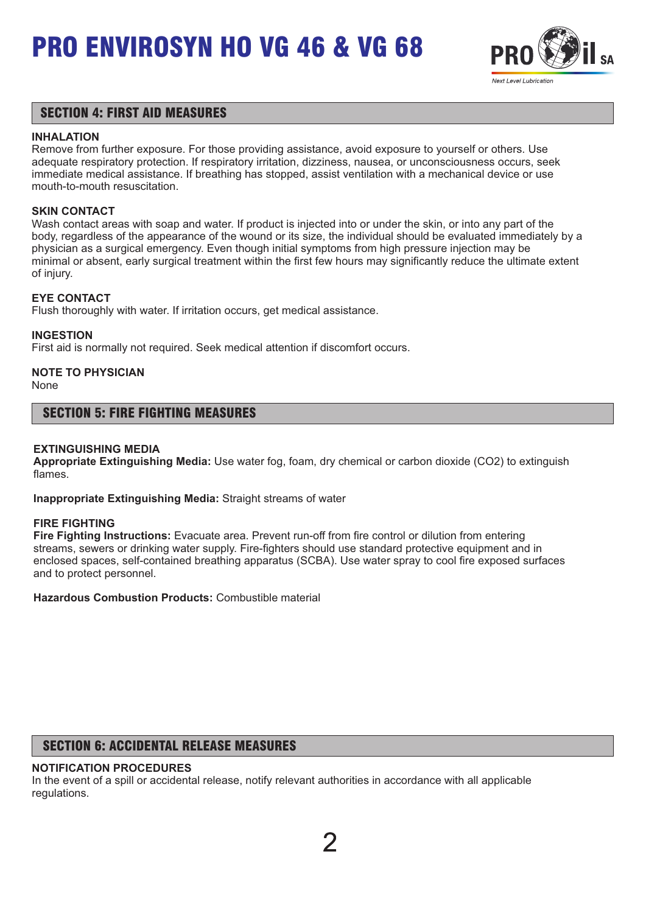

## SECTION 4: FIRST AID MEASURES

### **INHALATION**

Remove from further exposure. For those providing assistance, avoid exposure to yourself or others. Use adequate respiratory protection. If respiratory irritation, dizziness, nausea, or unconsciousness occurs, seek immediate medical assistance. If breathing has stopped, assist ventilation with a mechanical device or use mouth-to-mouth resuscitation.

### **SKIN CONTACT**

Wash contact areas with soap and water. If product is injected into or under the skin, or into any part of the body, regardless of the appearance of the wound or its size, the individual should be evaluated immediately by a physician as a surgical emergency. Even though initial symptoms from high pressure injection may be minimal or absent, early surgical treatment within the first few hours may significantly reduce the ultimate extent of injury.

## **EYE CONTACT**

Flush thoroughly with water. If irritation occurs, get medical assistance.

### **INGESTION**

First aid is normally not required. Seek medical attention if discomfort occurs.

## **NOTE TO PHYSICIAN**

None

## SECTION 5: FIRE FIGHTING MEASURES

### **EXTINGUISHING MEDIA**

**Appropriate Extinguishing Media:** Use water fog, foam, dry chemical or carbon dioxide (CO2) to extinguish flames.

**Inappropriate Extinguishing Media:** Straight streams of water

#### **FIRE FIGHTING**

**Fire Fighting Instructions:** Evacuate area. Prevent run-off from fire control or dilution from entering streams, sewers or drinking water supply. Fire-fighters should use standard protective equipment and in enclosed spaces, self-contained breathing apparatus (SCBA). Use water spray to cool fire exposed surfaces and to protect personnel.

**Hazardous Combustion Products:** Combustible material

## SECTION 6: ACCIDENTAL RELEASE MEASURES

## **NOTIFICATION PROCEDURES**

In the event of a spill or accidental release, notify relevant authorities in accordance with all applicable regulations.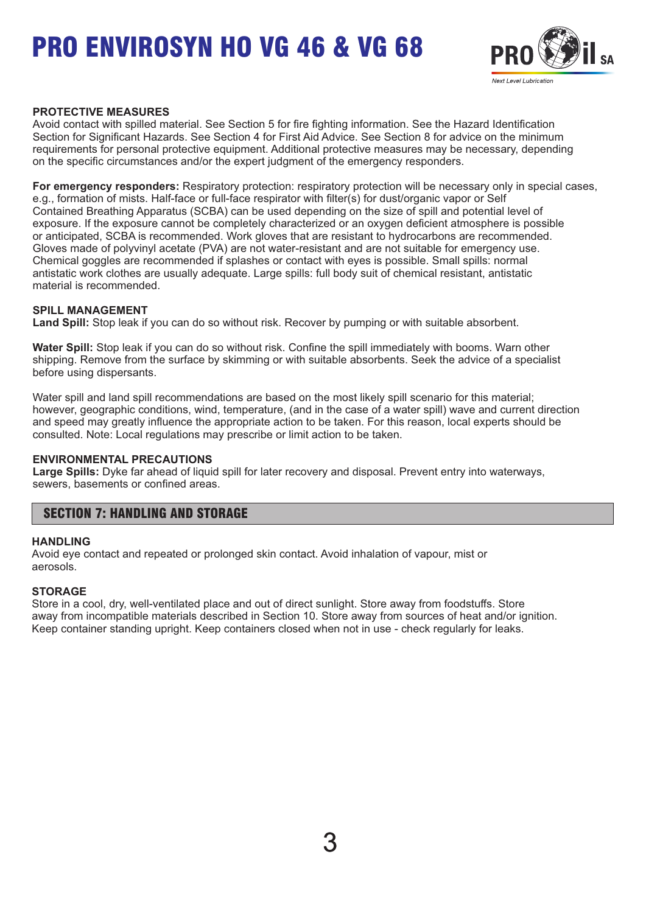

### **PROTECTIVE MEASURES**

Avoid contact with spilled material. See Section 5 for fire fighting information. See the Hazard Identification Section for Significant Hazards. See Section 4 for First Aid Advice. See Section 8 for advice on the minimum requirements for personal protective equipment. Additional protective measures may be necessary, depending on the specific circumstances and/or the expert judgment of the emergency responders.

**For emergency responders:** Respiratory protection: respiratory protection will be necessary only in special cases, e.g., formation of mists. Half-face or full-face respirator with filter(s) for dust/organic vapor or Self Contained Breathing Apparatus (SCBA) can be used depending on the size of spill and potential level of exposure. If the exposure cannot be completely characterized or an oxygen deficient atmosphere is possible or anticipated, SCBA is recommended. Work gloves that are resistant to hydrocarbons are recommended. Gloves made of polyvinyl acetate (PVA) are not water-resistant and are not suitable for emergency use. Chemical goggles are recommended if splashes or contact with eyes is possible. Small spills: normal antistatic work clothes are usually adequate. Large spills: full body suit of chemical resistant, antistatic material is recommended.

#### **SPILL MANAGEMENT**

**Land Spill:** Stop leak if you can do so without risk. Recover by pumping or with suitable absorbent.

**Water Spill:** Stop leak if you can do so without risk. Confine the spill immediately with booms. Warn other shipping. Remove from the surface by skimming or with suitable absorbents. Seek the advice of a specialist before using dispersants.

Water spill and land spill recommendations are based on the most likely spill scenario for this material; however, geographic conditions, wind, temperature, (and in the case of a water spill) wave and current direction and speed may greatly influence the appropriate action to be taken. For this reason, local experts should be consulted. Note: Local regulations may prescribe or limit action to be taken.

#### **ENVIRONMENTAL PRECAUTIONS**

**Large Spills:** Dyke far ahead of liquid spill for later recovery and disposal. Prevent entry into waterways, sewers, basements or confined areas.

## SECTION 7: HANDLING AND STORAGE

#### **HANDLING**

Avoid eye contact and repeated or prolonged skin contact. Avoid inhalation of vapour, mist or aerosols.

#### **STORAGE**

Store in a cool, dry, well-ventilated place and out of direct sunlight. Store away from foodstuffs. Store away from incompatible materials described in Section 10. Store away from sources of heat and/or ignition. Keep container standing upright. Keep containers closed when not in use - check regularly for leaks.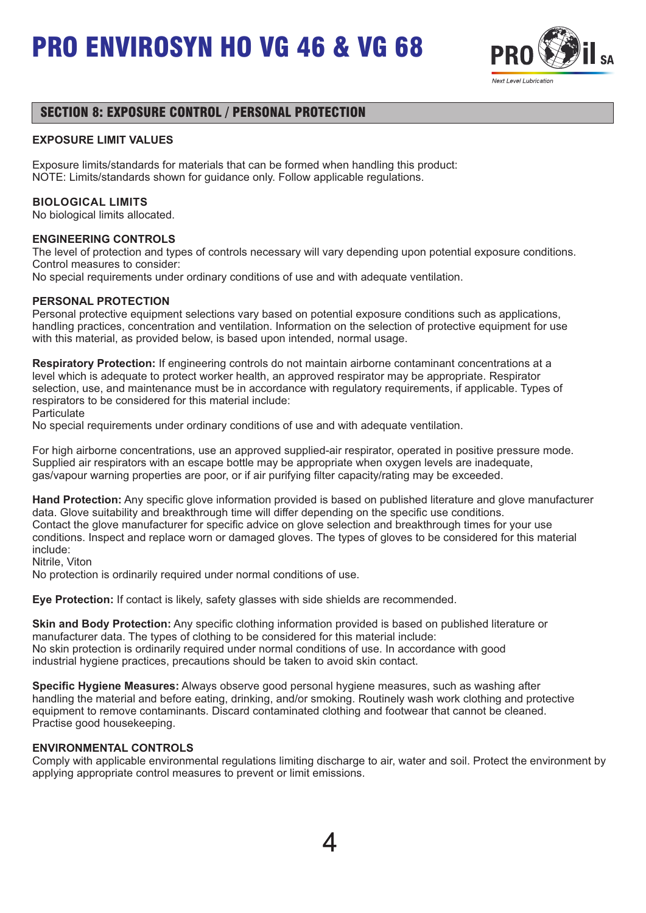

## SECTION 8: EXPOSURE CONTROL / PERSONAL PROTECTION

### **EXPOSURE LIMIT VALUES**

Exposure limits/standards for materials that can be formed when handling this product: NOTE: Limits/standards shown for guidance only. Follow applicable regulations.

### **BIOLOGICAL LIMITS**

No biological limits allocated.

#### **ENGINEERING CONTROLS**

The level of protection and types of controls necessary will vary depending upon potential exposure conditions. Control measures to consider:

No special requirements under ordinary conditions of use and with adequate ventilation.

#### **PERSONAL PROTECTION**

Personal protective equipment selections vary based on potential exposure conditions such as applications, handling practices, concentration and ventilation. Information on the selection of protective equipment for use with this material, as provided below, is based upon intended, normal usage.

**Respiratory Protection:** If engineering controls do not maintain airborne contaminant concentrations at a level which is adequate to protect worker health, an approved respirator may be appropriate. Respirator selection, use, and maintenance must be in accordance with regulatory requirements, if applicable. Types of respirators to be considered for this material include:

**Particulate** 

No special requirements under ordinary conditions of use and with adequate ventilation.

For high airborne concentrations, use an approved supplied-air respirator, operated in positive pressure mode. Supplied air respirators with an escape bottle may be appropriate when oxygen levels are inadequate, gas/vapour warning properties are poor, or if air purifying filter capacity/rating may be exceeded.

**Hand Protection:** Any specific glove information provided is based on published literature and glove manufacturer data. Glove suitability and breakthrough time will differ depending on the specific use conditions. Contact the glove manufacturer for specific advice on glove selection and breakthrough times for your use conditions. Inspect and replace worn or damaged gloves. The types of gloves to be considered for this material include:

Nitrile, Viton

No protection is ordinarily required under normal conditions of use.

**Eye Protection:** If contact is likely, safety glasses with side shields are recommended.

**Skin and Body Protection:** Any specific clothing information provided is based on published literature or manufacturer data. The types of clothing to be considered for this material include: No skin protection is ordinarily required under normal conditions of use. In accordance with good industrial hygiene practices, precautions should be taken to avoid skin contact.

**Specific Hygiene Measures:** Always observe good personal hygiene measures, such as washing after handling the material and before eating, drinking, and/or smoking. Routinely wash work clothing and protective equipment to remove contaminants. Discard contaminated clothing and footwear that cannot be cleaned. Practise good housekeeping.

#### **ENVIRONMENTAL CONTROLS**

Comply with applicable environmental regulations limiting discharge to air, water and soil. Protect the environment by applying appropriate control measures to prevent or limit emissions.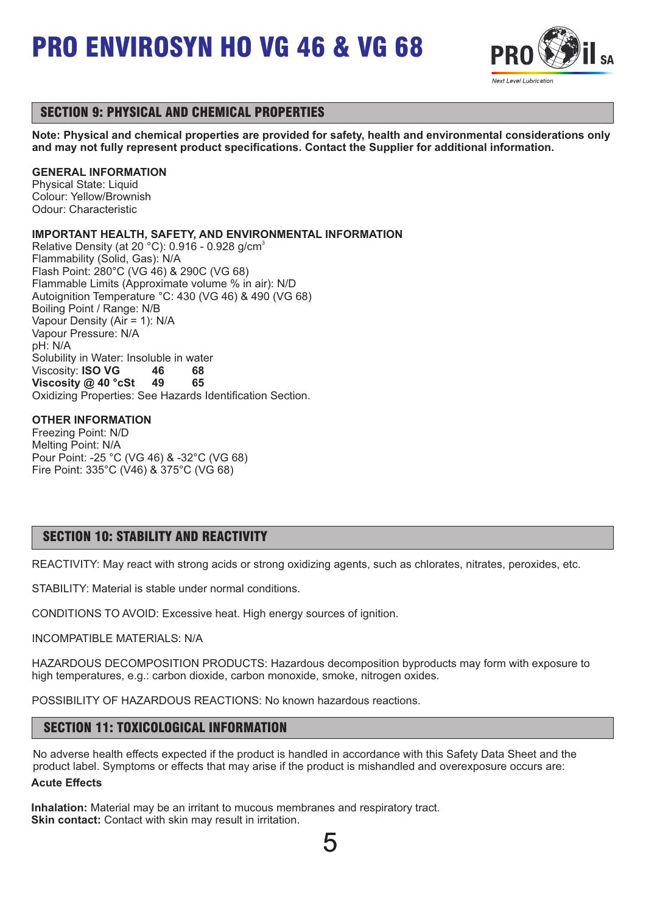

## SECTION 9: PHYSICAL AND CHEMICAL PROPERTIES

**Note: Physical and chemical properties are provided for safety, health and environmental considerations only and may not fully represent product specifications. Contact the Supplier for additional information.**

### **GENERAL INFORMATION**

Physical State: Liquid Colour: Yellow/Brownish Odour: Characteristic

## **IMPORTANT HEALTH, SAFETY, AND ENVIRONMENTAL INFORMATION**

Relative Density (at 20 °C): 0.916 - 0.928 g/cm<sup>3</sup> Flammability (Solid, Gas): N/A Flash Point: 280°C (VG 46) & 290C (VG 68) Flammable Limits (Approximate volume % in air): N/D Autoignition Temperature °C: 430 (VG 46) & 490 (VG 68) Boiling Point / Range: N/B Vapour Density (Air = 1): N/A Vapour Pressure: N/A pH: N/A Solubility in Water: Insoluble in water Viscosity: **ISO VG 46 68 Viscosity @ 40 °cSt 49 65** Oxidizing Properties: See Hazards Identification Section.

## **OTHER INFORMATION**

Freezing Point: N/D Melting Point: N/A Pour Point: -25 °C (VG 46) & -32°C (VG 68) Fire Point: 335°C (V46) & 375°C (VG 68)

## SECTION 10: STABILITY AND REACTIVITY

REACTIVITY: May react with strong acids or strong oxidizing agents, such as chlorates, nitrates, peroxides, etc.

STABILITY: Material is stable under normal conditions.

CONDITIONS TO AVOID: Excessive heat. High energy sources of ignition.

INCOMPATIBLE MATERIALS: N/A

HAZARDOUS DECOMPOSITION PRODUCTS: Hazardous decomposition byproducts may form with exposure to high temperatures, e.g.: carbon dioxide, carbon monoxide, smoke, nitrogen oxides.

POSSIBILITY OF HAZARDOUS REACTIONS: No known hazardous reactions.

## SECTION 11: TOXICOLOGICAL INFORMATION

No adverse health effects expected if the product is handled in accordance with this Safety Data Sheet and the product label. Symptoms or effects that may arise if the product is mishandled and overexposure occurs are: **Acute Effects**

**Inhalation:** Material may be an irritant to mucous membranes and respiratory tract. **Skin contact:** Contact with skin may result in irritation.

5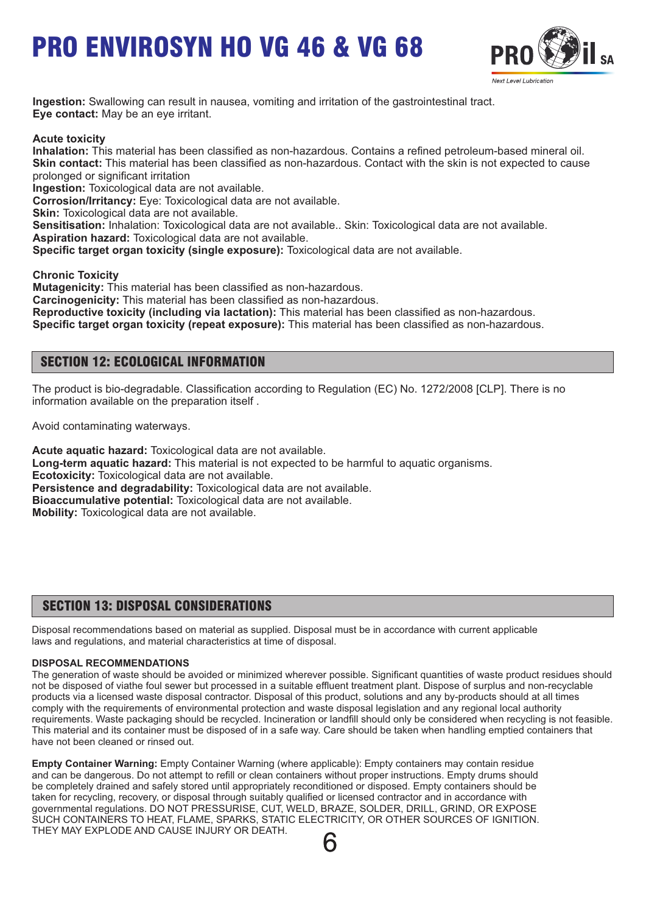

**Ingestion:** Swallowing can result in nausea, vomiting and irritation of the gastrointestinal tract. **Eye contact:** May be an eye irritant.

**Acute toxicity**

**Inhalation:** This material has been classified as non-hazardous. Contains a refined petroleum-based mineral oil. **Skin contact:** This material has been classified as non-hazardous. Contact with the skin is not expected to cause prolonged or significant irritation

**Ingestion:** Toxicological data are not available.

**Corrosion/Irritancy:** Eye: Toxicological data are not available.

**Skin:** Toxicological data are not available.

**Sensitisation:** Inhalation: Toxicological data are not available.. Skin: Toxicological data are not available. **Aspiration hazard:** Toxicological data are not available.

**Specific target organ toxicity (single exposure):** Toxicological data are not available.

**Chronic Toxicity**

**Mutagenicity:** This material has been classified as non-hazardous.

**Carcinogenicity:** This material has been classified as non-hazardous.

**Reproductive toxicity (including via lactation):** This material has been classified as non-hazardous.

**Specific target organ toxicity (repeat exposure):** This material has been classified as non-hazardous.

## SECTION 12: ECOLOGICAL INFORMATION

The product is bio-degradable. Classification according to Regulation (EC) No. 1272/2008 [CLP]. There is no information available on the preparation itself .

Avoid contaminating waterways.

**Acute aquatic hazard:** Toxicological data are not available. **Long-term aquatic hazard:** This material is not expected to be harmful to aquatic organisms. **Ecotoxicity:** Toxicological data are not available. **Persistence and degradability:** Toxicological data are not available. **Bioaccumulative potential:** Toxicological data are not available. **Mobility:** Toxicological data are not available.

## SECTION 13: DISPOSAL CONSIDERATIONS

Disposal recommendations based on material as supplied. Disposal must be in accordance with current applicable laws and regulations, and material characteristics at time of disposal.

#### **DISPOSAL RECOMMENDATIONS**

The generation of waste should be avoided or minimized wherever possible. Significant quantities of waste product residues should not be disposed of viathe foul sewer but processed in a suitable effluent treatment plant. Dispose of surplus and non-recyclable products via a licensed waste disposal contractor. Disposal of this product, solutions and any by-products should at all times comply with the requirements of environmental protection and waste disposal legislation and any regional local authority requirements. Waste packaging should be recycled. Incineration or landfill should only be considered when recycling is not feasible. This material and its container must be disposed of in a safe way. Care should be taken when handling emptied containers that have not been cleaned or rinsed out.

**Empty Container Warning:** Empty Container Warning (where applicable): Empty containers may contain residue and can be dangerous. Do not attempt to refill or clean containers without proper instructions. Empty drums should be completely drained and safely stored until appropriately reconditioned or disposed. Empty containers should be taken for recycling, recovery, or disposal through suitably qualified or licensed contractor and in accordance with governmental regulations. DO NOT PRESSURISE, CUT, WELD, BRAZE, SOLDER, DRILL, GRIND, OR EXPOSE SUCH CONTAINERS TO HEAT, FLAME, SPARKS, STATIC ELECTRICITY, OR OTHER SOURCES OF IGNITION. THEY MAY EXPLODE AND CAUSE INJURY OR DEATH.